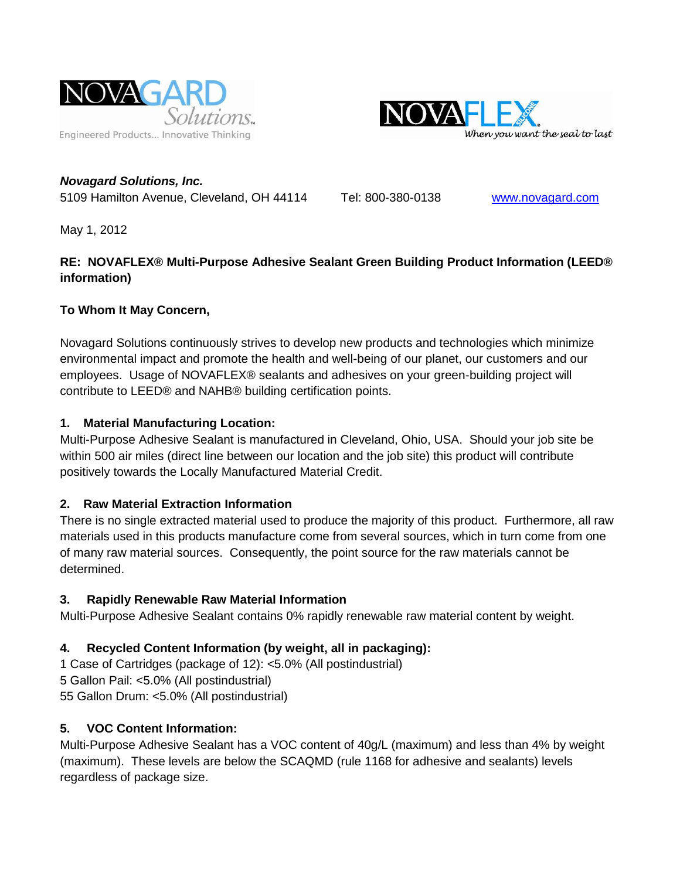



*Novagard Solutions, Inc.* 5109 Hamilton Avenue, Cleveland, OH 44114 Tel: 800-380-0138 [www.novagard.com](http://www.novagard.com/)

May 1, 2012

#### **RE: NOVAFLEX® Multi-Purpose Adhesive Sealant Green Building Product Information (LEED® information)**

#### **To Whom It May Concern,**

Novagard Solutions continuously strives to develop new products and technologies which minimize environmental impact and promote the health and well-being of our planet, our customers and our employees. Usage of NOVAFLEX® sealants and adhesives on your green-building project will contribute to LEED® and NAHB® building certification points.

#### **1. Material Manufacturing Location:**

Multi-Purpose Adhesive Sealant is manufactured in Cleveland, Ohio, USA. Should your job site be within 500 air miles (direct line between our location and the job site) this product will contribute positively towards the Locally Manufactured Material Credit.

# **2. Raw Material Extraction Information**

There is no single extracted material used to produce the majority of this product. Furthermore, all raw materials used in this products manufacture come from several sources, which in turn come from one of many raw material sources. Consequently, the point source for the raw materials cannot be determined.

# **3. Rapidly Renewable Raw Material Information**

Multi-Purpose Adhesive Sealant contains 0% rapidly renewable raw material content by weight.

# **4. Recycled Content Information (by weight, all in packaging):**

1 Case of Cartridges (package of 12): <5.0% (All postindustrial) 5 Gallon Pail: <5.0% (All postindustrial) 55 Gallon Drum: <5.0% (All postindustrial)

# **5. VOC Content Information:**

Multi-Purpose Adhesive Sealant has a VOC content of 40g/L (maximum) and less than 4% by weight (maximum). These levels are below the SCAQMD (rule 1168 for adhesive and sealants) levels regardless of package size.